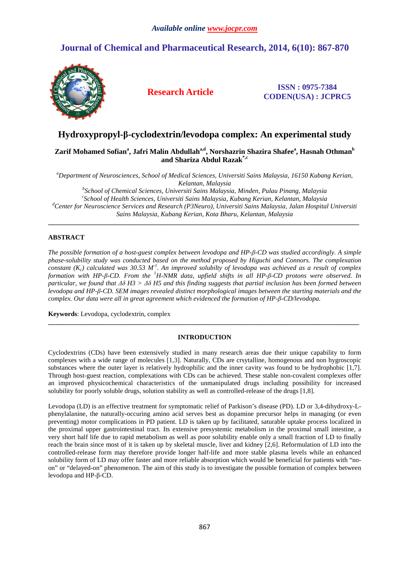# **Journal of Chemical and Pharmaceutical Research, 2014, 6(10): 867-870**



**Research Article ISSN : 0975-7384 CODEN(USA) : JCPRC5**

# **Hydroxypropyl-β-cyclodextrin/levodopa complex: An experimental study**

# $\boldsymbol{\mathsf{Zarif}}$  Mohamed Sofian $\text{^a, Jafri}$  Malin Abdullah $\text{^a, d}$  , Norshazrin Shazira Shafee $\text{^a, Hasanah Othman}^{\text{b}}$ **and Shariza Abdul Razak\*,c**

*<sup>a</sup>Department of Neurosciences, School of Medical Sciences, Universiti Sains Malaysia, 16150 Kubang Kerian, Kelantan, Malaysia* 

*b School of Chemical Sciences, Universiti Sains Malaysia, Minden, Pulau Pinang, Malaysia c School of Health Sciences, Universiti Sains Malaysia, Kubang Kerian, Kelantan, Malaysia <sup>d</sup>Center for Neuroscience Services and Research (P3Neuro), Universiti Sains Malaysia, Jalan Hospital Universiti Sains Malaysia, Kubang Kerian, Kota Bharu, Kelantan, Malaysia* 

**\_\_\_\_\_\_\_\_\_\_\_\_\_\_\_\_\_\_\_\_\_\_\_\_\_\_\_\_\_\_\_\_\_\_\_\_\_\_\_\_\_\_\_\_\_\_\_\_\_\_\_\_\_\_\_\_\_\_\_\_\_\_\_\_\_\_\_\_\_\_\_\_\_\_\_\_\_\_\_\_\_\_\_\_\_\_\_\_\_\_\_\_\_** 

# **ABSTRACT**

*The possible formation of a host-guest complex between levodopa and HP-β-CD was studied accordingly. A simple phase-solubility study was conducted based on the method proposed by Higuchi and Connors. The complexation constant (Kc) calculated was 30.53 M-1. An improved solubilty of levodopa was achieved as a result of complex formation with HP-β-CD. From the <sup>1</sup>H-NMR data, upfield shifts in all HP-β-CD protons were observed. In particular, we found that ∆δ H3 > ∆δ H5 and this finding suggests that partial inclusion has been formed between levodopa and HP-β-CD. SEM images revealed distinct morphological images between the starting materials and the complex. Our data were all in great agreement which evidenced the formation of HP-β-CD/levodopa.* 

**Keywords**: Levodopa, cyclodextrin, complex

## **INTRODUCTION**

**\_\_\_\_\_\_\_\_\_\_\_\_\_\_\_\_\_\_\_\_\_\_\_\_\_\_\_\_\_\_\_\_\_\_\_\_\_\_\_\_\_\_\_\_\_\_\_\_\_\_\_\_\_\_\_\_\_\_\_\_\_\_\_\_\_\_\_\_\_\_\_\_\_\_\_\_\_\_\_\_\_\_\_\_\_\_\_\_\_\_\_\_\_** 

Cyclodextrins (CDs) have been extensively studied in many research areas due their unique capability to form complexes with a wide range of molecules [1,3]. Naturally, CDs are crsytalline, homogenous and non hygroscopic substances where the outer layer is relatively hydrophilic and the inner cavity was found to be hydrophobic [1,7]. Through host-guest reaction, complexations with CDs can be achieved. These stable non-covalent complexes offer an improved physicochemical characteristics of the unmanipulated drugs including possibility for increased solubility for poorly soluble drugs, solution stability as well as controlled-release of the drugs [1,8].

Levodopa (LD) is an effective treatment for symptomatic relief of Parkison's disease (PD). LD or 3,4-dihydroxy-Lphenylalanine, the naturally-occuring amino acid serves best as dopamine precursor helps in managing (or even preventing) motor complications in PD patient. LD is taken up by facilitated, saturable uptake process localized in the proximal upper gastrointestinal tract. Its extensive presystemic metabolism in the proximal small intestine, a very short half life due to rapid metabolism as well as poor solubility enable only a small fraction of LD to finally reach the brain since most of it is taken up by skeletal muscle, liver and kidney [2,6]. Reformulation of LD into the controlled-release form may therefore provide longer half-life and more stable plasma levels while an enhanced solubility form of LD may offer faster and more reliable absorption which would be beneficial for patients with "noon" or "delayed-on" phenomenon. The aim of this study is to investigate the possible formation of complex between levodopa and HP-β-CD.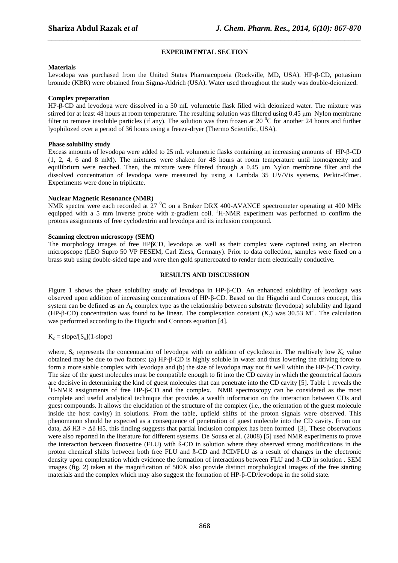## **EXPERIMENTAL SECTION**

*\_\_\_\_\_\_\_\_\_\_\_\_\_\_\_\_\_\_\_\_\_\_\_\_\_\_\_\_\_\_\_\_\_\_\_\_\_\_\_\_\_\_\_\_\_\_\_\_\_\_\_\_\_\_\_\_\_\_\_\_\_\_\_\_\_\_\_\_\_\_\_\_\_\_\_\_\_\_*

#### **Materials**

Levodopa was purchased from the United States Pharmacopoeia (Rockville, MD, USA). HP-β-CD, pottasium bromide (KBR) were obtained from Sigma-Aldrich (USA). Water used throughout the study was double-deionized.

### **Complex preparation**

HP-β-CD and levodopa were dissolved in a 50 mL volumetric flask filled with deionized water. The mixture was stirred for at least 48 hours at room temperature. The resulting solution was filtered using 0.45 µm Nylon membrane filter to remove insoluble particles (if any). The solution was then frozen at 20  $\rm{^0C}$  for another 24 hours and further lyophilozed over a period of 36 hours using a freeze-dryer (Thermo Scientific, USA).

#### **Phase solubility study**

Excess amounts of levodopa were added to 25 mL volumetric flasks containing an increasing amounts of HP-β-CD (1, 2, 4, 6 and 8 mM). The mixtures were shaken for 48 hours at room temperature until homogeneity and equilibrium were reached. Then, the mixture were filtered through a 0.45 µm Nylon membrane filter and the dissolved concentration of levodopa were measured by using a Lambda 35 UV/Vis systems, Perkin-Elmer. Experiments were done in triplicate.

#### **Nuclear Magnetic Resonance (NMR)**

NMR spectra were each recorded at  $27\text{ °C}$  on a Bruker DRX 400-AVANCE spectrometer operating at 400 MHz equipped with a 5 mm inverse probe with z-gradient coil. <sup>1</sup>H-NMR experiment was performed to confirm the protons assignments of free cyclodextrin and levodopa and its inclusion compound.

#### **Scanning electron microscopy (SEM)**

The morphology images of free HPβCD, levodopa as well as their complex were captured using an electron micropscope (LEO Supro 50 VP FESEM, Carl Ziess, Germany). Prior to data collection, samples were fixed on a brass stub using double-sided tape and were then gold sputtercoated to render them electrically conductive.

### **RESULTS AND DISCUSSION**

Figure 1 shows the phase solubility study of levodopa in HP-β-CD. An enhanced solubility of levodopa was observed upon addition of increasing concentrations of HP-β-CD. Based on the Higuchi and Connors concept, this system can be defined as an A<sub>L</sub> complex type as the relationship between substrate (levodopa) solubility and ligand (HP-β-CD) concentration was found to be linear. The complexation constant  $(K_c)$  was 30.53 M<sup>-1</sup>. The calculation was performed according to the Higuchi and Connors equation [4].

## $K_c = slope/[S_o](1-slope)$

where,  $S_0$  represents the concentration of levodopa with no addition of cyclodextrin. The realtively low  $K_c$  value obtained may be due to two factors: (a) HP-β-CD is highly soluble in water and thus lowering the driving force to form a more stable complex with levodopa and (b) the size of levodopa may not fit well within the HP-β-CD cavity. The size of the guest molecules must be compatible enough to fit into the CD cavity in which the geometrical factors are decisive in determining the kind of guest molecules that can penetrate into the CD cavity [5]. Table 1 reveals the <sup>1</sup>H-NMR assignments of free HP-β-CD and the complex. NMR spectroscopy can be considered as the most complete and useful analytical technique that provides a wealth information on the interaction between CDs and guest compounds. It allows the elucidation of the structure of the complex (i.e., the orientation of the guest molecule inside the host cavity) in solutions. From the table, upfield shifts of the proton signals were observed. This phenomenon should be expected as a consequence of penetration of guest molecule into the CD cavity. From our data, ∆δ H3 > ∆δ H5, this finding suggests that partial inclusion complex has been formed [3]. These observations were also reported in the literature for different systems. De Sousa et al. (2008) [5] used NMR experiments to prove the interaction between fluoxetine (FLU) with ß-CD in solution where they observed strong modifications in the proton chemical shifts between both free FLU and ß-CD and ßCD/FLU as a result of changes in the electronic density upon complexation which evidence the formation of interactions between FLU and ß-CD in solution . SEM images (fig. 2) taken at the magnification of 500X also provide distinct morphological images of the free starting materials and the complex which may also suggest the formation of HP-β-CD/levodopa in the solid state.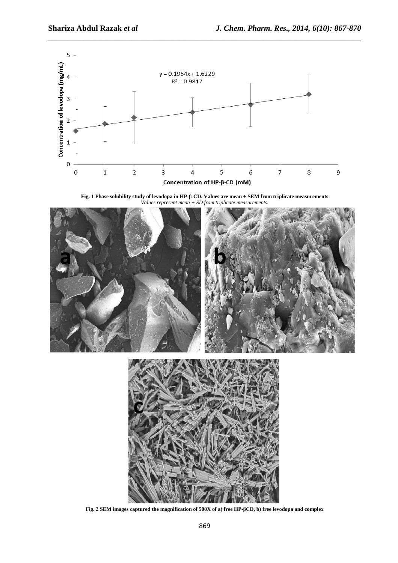

*\_\_\_\_\_\_\_\_\_\_\_\_\_\_\_\_\_\_\_\_\_\_\_\_\_\_\_\_\_\_\_\_\_\_\_\_\_\_\_\_\_\_\_\_\_\_\_\_\_\_\_\_\_\_\_\_\_\_\_\_\_\_\_\_\_\_\_\_\_\_\_\_\_\_\_\_\_\_*

**Fig. 1 Phase solubility study of levodopa in HP-β-CD. Values are mean**  $\pm$  **SEM from triplicate measurements** *Values represent mean*  $\pm$  *SD from triplicate measurements.* 



**Fig. 2 SEM images captured the magnification of 500X of a) free HP-βCD, b) free levodopa and complex**